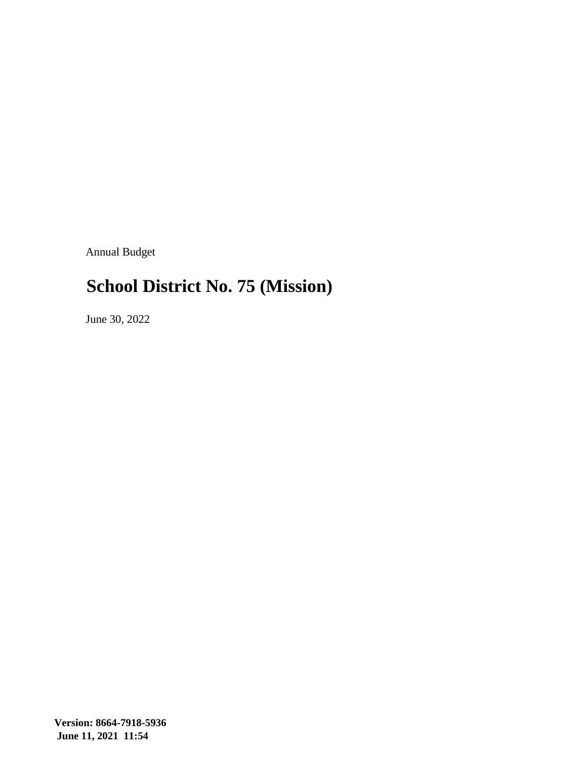Annual Budget

#### **School District No. 75 (Mission)**

June 30, 2022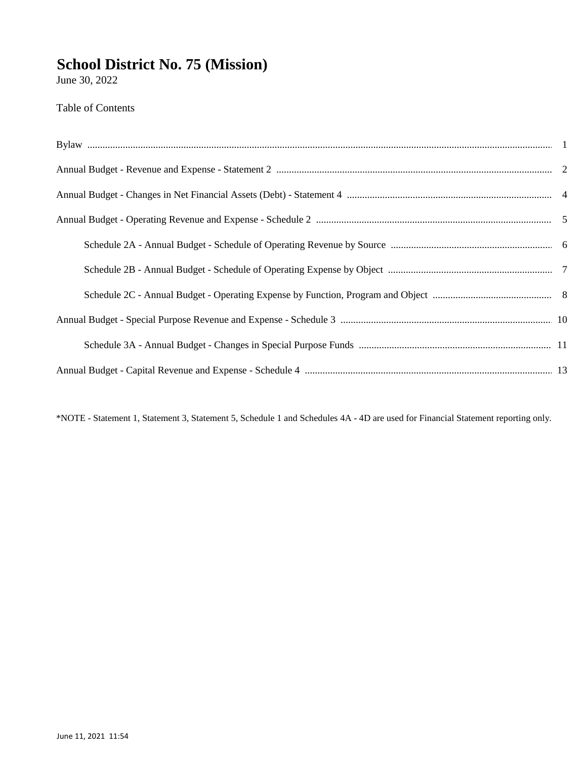June 30, 2022

**Table of Contents** 

\*NOTE - Statement 1, Statement 3, Statement 5, Schedule 1 and Schedules 4A - 4D are used for Financial Statement reporting only.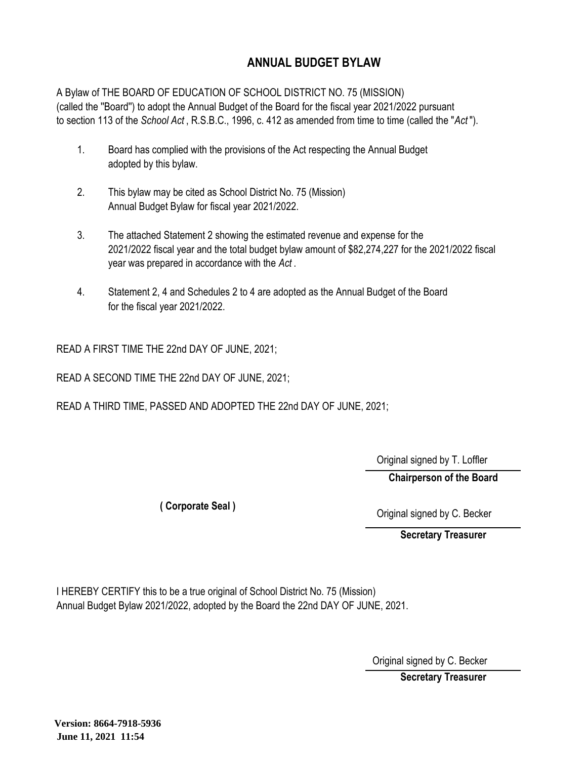#### **ANNUAL BUDGET BYLAW**

A Bylaw of THE BOARD OF EDUCATION OF SCHOOL DISTRICT NO. 75 (MISSION) (called the ''Board'') to adopt the Annual Budget of the Board for the fiscal year 2021/2022 pursuant to section 113 of the *School Act* , R.S.B.C., 1996, c. 412 as amended from time to time (called the "*Act* ").

- 1. Board has complied with the provisions of the Act respecting the Annual Budget adopted by this bylaw.
- 2. This bylaw may be cited as School District No. 75 (Mission) Annual Budget Bylaw for fiscal year 2021/2022.
- 3. The attached Statement 2 showing the estimated revenue and expense for the 2021/2022 fiscal year and the total budget bylaw amount of \$82,274,227 for the 2021/2022 fiscal year was prepared in accordance with the *Act* .
- 4. Statement 2, 4 and Schedules 2 to 4 are adopted as the Annual Budget of the Board for the fiscal year 2021/2022.

READ A FIRST TIME THE 22nd DAY OF JUNE, 2021;

READ A SECOND TIME THE 22nd DAY OF JUNE, 2021;

READ A THIRD TIME, PASSED AND ADOPTED THE 22nd DAY OF JUNE, 2021;

Original signed by T. Loffler

**Chairperson of the Board**

**( Corporate Seal )**

Original signed by C. Becker

**Secretary Treasurer**

I HEREBY CERTIFY this to be a true original of School District No. 75 (Mission) Annual Budget Bylaw 2021/2022, adopted by the Board the 22nd DAY OF JUNE, 2021.

Original signed by C. Becker

**Secretary Treasurer**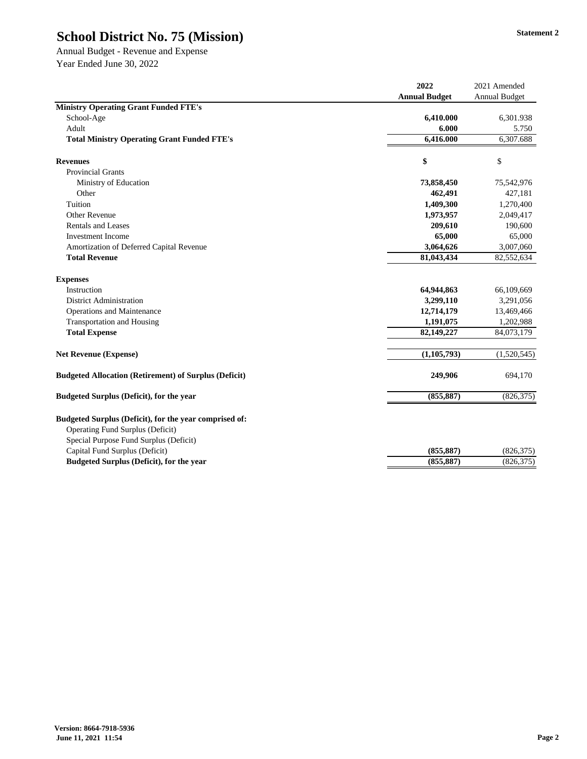Annual Budget - Revenue and Expense Year Ended June 30, 2022

|                                                                                                   | 2022                 | 2021 Amended         |
|---------------------------------------------------------------------------------------------------|----------------------|----------------------|
|                                                                                                   | <b>Annual Budget</b> | <b>Annual Budget</b> |
| <b>Ministry Operating Grant Funded FTE's</b>                                                      |                      |                      |
| School-Age                                                                                        | 6,410.000            | 6,301.938            |
| Adult                                                                                             | 6.000                | 5.750                |
| <b>Total Ministry Operating Grant Funded FTE's</b>                                                | 6,416.000            | 6,307.688            |
| <b>Revenues</b>                                                                                   | \$                   | \$                   |
| <b>Provincial Grants</b>                                                                          |                      |                      |
| Ministry of Education                                                                             | 73,858,450           | 75,542,976           |
| Other                                                                                             | 462,491              | 427,181              |
| Tuition                                                                                           | 1,409,300            | 1,270,400            |
| <b>Other Revenue</b>                                                                              | 1,973,957            | 2,049,417            |
| <b>Rentals and Leases</b>                                                                         | 209,610              | 190,600              |
| <b>Investment Income</b>                                                                          | 65,000               | 65,000               |
| Amortization of Deferred Capital Revenue                                                          | 3,064,626            | 3,007,060            |
| <b>Total Revenue</b>                                                                              | 81,043,434           | 82,552,634           |
| <b>Expenses</b>                                                                                   |                      |                      |
| Instruction                                                                                       | 64,944,863           | 66,109,669           |
| <b>District Administration</b>                                                                    | 3,299,110            | 3,291,056            |
| <b>Operations and Maintenance</b>                                                                 | 12,714,179           | 13,469,466           |
| <b>Transportation and Housing</b>                                                                 | 1,191,075            | 1,202,988            |
| <b>Total Expense</b>                                                                              | 82,149,227           | 84,073,179           |
| <b>Net Revenue (Expense)</b>                                                                      | (1, 105, 793)        | (1,520,545)          |
| <b>Budgeted Allocation (Retirement) of Surplus (Deficit)</b>                                      | 249,906              | 694,170              |
| <b>Budgeted Surplus (Deficit), for the year</b>                                                   | (855, 887)           | (826, 375)           |
| Budgeted Surplus (Deficit), for the year comprised of:<br><b>Operating Fund Surplus (Deficit)</b> |                      |                      |
| Special Purpose Fund Surplus (Deficit)                                                            |                      |                      |
| Capital Fund Surplus (Deficit)                                                                    | (855, 887)           | (826,375)            |
| <b>Budgeted Surplus (Deficit), for the year</b>                                                   | (855, 887)           | (826, 375)           |
|                                                                                                   |                      |                      |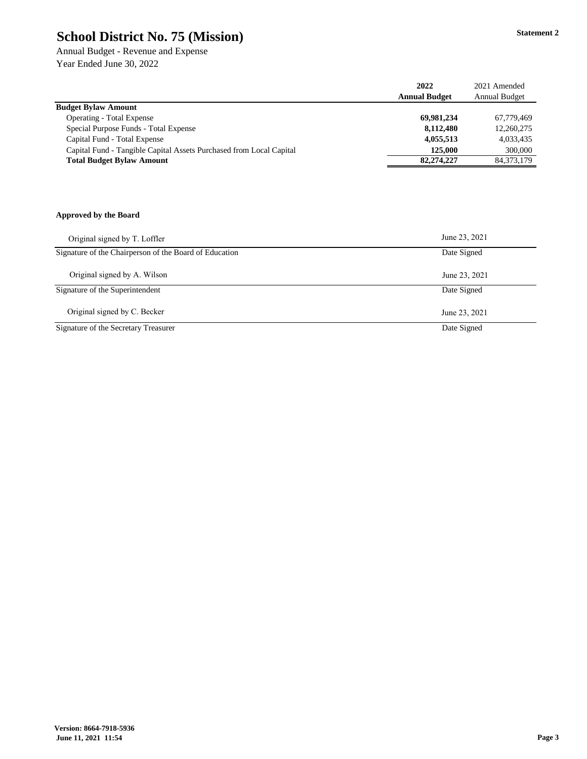Annual Budget - Revenue and Expense Year Ended June 30, 2022

|                                                                     | 2022                 | 2021 Amended         |
|---------------------------------------------------------------------|----------------------|----------------------|
|                                                                     | <b>Annual Budget</b> | <b>Annual Budget</b> |
| <b>Budget Bylaw Amount</b>                                          |                      |                      |
| <b>Operating - Total Expense</b>                                    | 69,981,234           | 67,779,469           |
| Special Purpose Funds - Total Expense                               | 8,112,480            | 12,260,275           |
| Capital Fund - Total Expense                                        | 4,055,513            | 4,033,435            |
| Capital Fund - Tangible Capital Assets Purchased from Local Capital | 125,000              | 300,000              |
| <b>Total Budget Bylaw Amount</b>                                    | 82,274,227           | 84, 373, 179         |
|                                                                     |                      |                      |
|                                                                     |                      |                      |
|                                                                     |                      |                      |
|                                                                     |                      |                      |
| <b>Approved by the Board</b>                                        |                      |                      |

| Original signed by T. Loffler                          | June 23, 2021 |
|--------------------------------------------------------|---------------|
| Signature of the Chairperson of the Board of Education | Date Signed   |
| Original signed by A. Wilson                           | June 23, 2021 |
| Signature of the Superintendent                        | Date Signed   |
| Original signed by C. Becker                           | June 23, 2021 |
| Signature of the Secretary Treasurer                   | Date Signed   |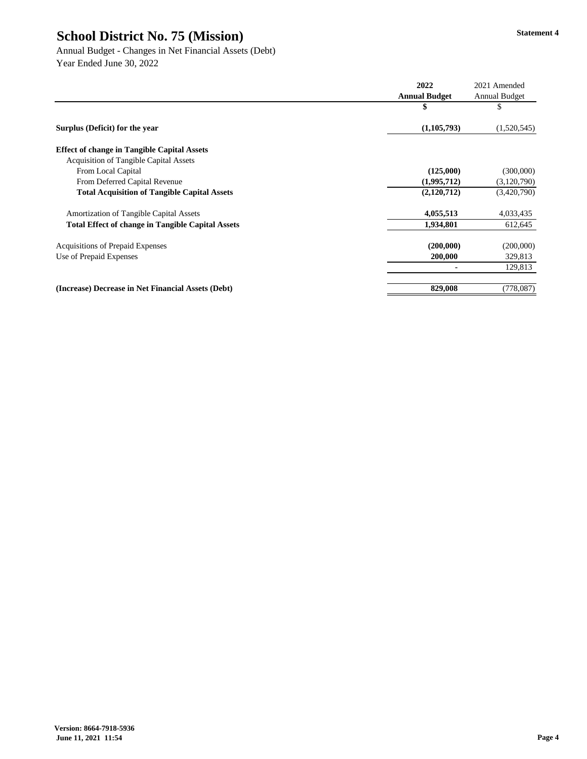Annual Budget - Changes in Net Financial Assets (Debt) Year Ended June 30, 2022

|                                                          | 2022                 | 2021 Amended         |
|----------------------------------------------------------|----------------------|----------------------|
|                                                          | <b>Annual Budget</b> | <b>Annual Budget</b> |
|                                                          | \$                   | \$                   |
| Surplus (Deficit) for the year                           | (1,105,793)          | (1,520,545)          |
| <b>Effect of change in Tangible Capital Assets</b>       |                      |                      |
| <b>Acquisition of Tangible Capital Assets</b>            |                      |                      |
| From Local Capital                                       | (125,000)            | (300,000)            |
| From Deferred Capital Revenue                            | (1,995,712)          | (3,120,790)          |
| <b>Total Acquisition of Tangible Capital Assets</b>      | (2,120,712)          | (3,420,790)          |
| <b>Amortization of Tangible Capital Assets</b>           | 4,055,513            | 4,033,435            |
| <b>Total Effect of change in Tangible Capital Assets</b> | 1,934,801            | 612,645              |
| <b>Acquisitions of Prepaid Expenses</b>                  | (200,000)            | (200,000)            |
| Use of Prepaid Expenses                                  | 200,000              | 329,813              |
|                                                          |                      | 129,813              |
| (Increase) Decrease in Net Financial Assets (Debt)       | 829,008              | (778,087)            |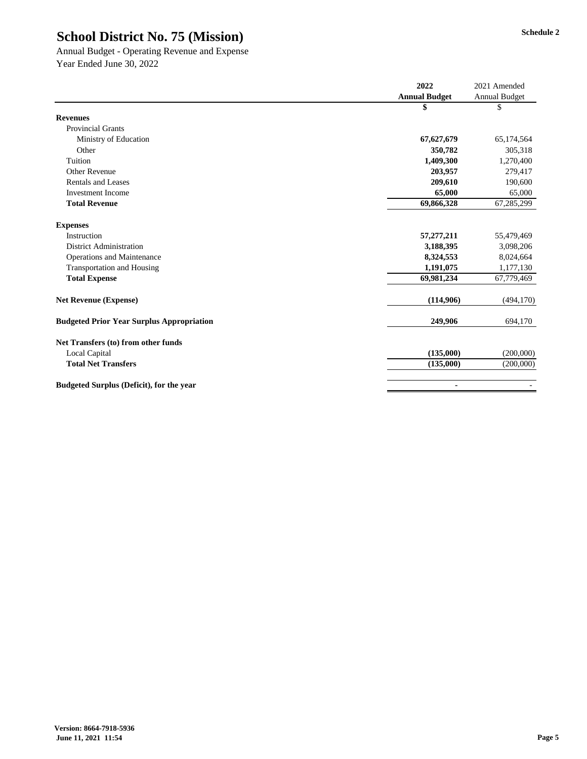Annual Budget - Operating Revenue and Expense Year Ended June 30, 2022

|                                                  | 2022                 | 2021 Amended         |
|--------------------------------------------------|----------------------|----------------------|
|                                                  | <b>Annual Budget</b> | <b>Annual Budget</b> |
|                                                  | \$                   | \$                   |
| <b>Revenues</b>                                  |                      |                      |
| <b>Provincial Grants</b>                         |                      |                      |
| Ministry of Education                            | 67,627,679           | 65,174,564           |
| Other                                            | 350,782              | 305,318              |
| Tuition                                          | 1,409,300            | 1,270,400            |
| <b>Other Revenue</b>                             | 203,957              | 279,417              |
| <b>Rentals and Leases</b>                        | 209,610              | 190,600              |
| <b>Investment Income</b>                         | 65,000               | 65,000               |
| <b>Total Revenue</b>                             | 69,866,328           | 67,285,299           |
| <b>Expenses</b>                                  |                      |                      |
| Instruction                                      | 57,277,211           | 55,479,469           |
| <b>District Administration</b>                   | 3,188,395            | 3,098,206            |
| <b>Operations and Maintenance</b>                | 8,324,553            | 8,024,664            |
| <b>Transportation and Housing</b>                | 1,191,075            | 1,177,130            |
| <b>Total Expense</b>                             | 69,981,234           | 67,779,469           |
| <b>Net Revenue (Expense)</b>                     | (114,906)            | (494, 170)           |
| <b>Budgeted Prior Year Surplus Appropriation</b> | 249,906              | 694,170              |
| Net Transfers (to) from other funds              |                      |                      |
| Local Capital                                    | (135,000)            | (200,000)            |
| <b>Total Net Transfers</b>                       | (135,000)            | (200,000)            |
| <b>Budgeted Surplus (Deficit), for the year</b>  | $\blacksquare$       |                      |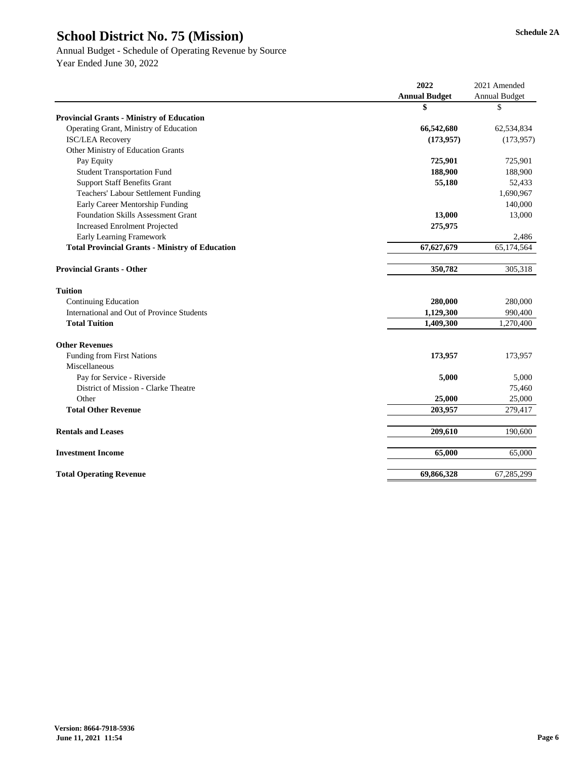# Annual Budget - Schedule of Operating Revenue by Source

|                                                        | 2022                 | 2021 Amended         |
|--------------------------------------------------------|----------------------|----------------------|
|                                                        | <b>Annual Budget</b> | <b>Annual Budget</b> |
|                                                        | \$                   | \$                   |
| <b>Provincial Grants - Ministry of Education</b>       |                      |                      |
| Operating Grant, Ministry of Education                 | 66,542,680           | 62,534,834           |
| <b>ISC/LEA Recovery</b>                                | (173, 957)           | (173,957)            |
| <b>Other Ministry of Education Grants</b>              |                      |                      |
| Pay Equity                                             | 725,901              | 725,901              |
| <b>Student Transportation Fund</b>                     | 188,900              | 188,900              |
| <b>Support Staff Benefits Grant</b>                    | 55,180               | 52,433               |
| <b>Teachers' Labour Settlement Funding</b>             |                      | 1,690,967            |
| Early Career Mentorship Funding                        |                      | 140,000              |
| <b>Foundation Skills Assessment Grant</b>              | 13,000               | 13,000               |
| <b>Increased Enrolment Projected</b>                   | 275,975              |                      |
| <b>Early Learning Framework</b>                        |                      | 2,486                |
| <b>Total Provincial Grants - Ministry of Education</b> | 67,627,679           | 65,174,564           |
| <b>Provincial Grants - Other</b>                       | 350,782              | 305,318              |
| <b>Tuition</b>                                         |                      |                      |
| <b>Continuing Education</b>                            | 280,000              | 280,000              |
| International and Out of Province Students             | 1,129,300            | 990,400              |
| <b>Total Tuition</b>                                   | 1,409,300            | 1,270,400            |
| <b>Other Revenues</b>                                  |                      |                      |
| <b>Funding from First Nations</b>                      | 173,957              | 173,957              |
| Miscellaneous                                          |                      |                      |
| Pay for Service - Riverside                            | 5,000                | 5,000                |
| District of Mission - Clarke Theatre                   |                      | 75,460               |
| Other                                                  | 25,000               | 25,000               |
| <b>Total Other Revenue</b>                             | 203,957              | 279,417              |
| <b>Rentals and Leases</b>                              | 209,610              | 190,600              |
| <b>Investment Income</b>                               | 65,000               | 65,000               |
| <b>Total Operating Revenue</b>                         | 69,866,328           | 67,285,299           |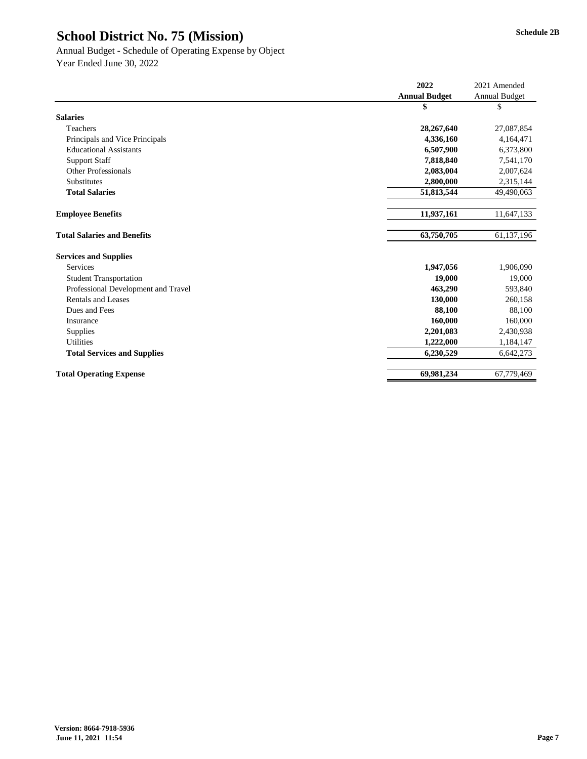|                                     | 2022                 | 2021 Amended         |
|-------------------------------------|----------------------|----------------------|
|                                     | <b>Annual Budget</b> | <b>Annual Budget</b> |
|                                     | \$                   | \$                   |
| <b>Salaries</b>                     |                      |                      |
| Teachers                            | 28,267,640           | 27,087,854           |
| Principals and Vice Principals      | 4,336,160            | 4,164,471            |
| <b>Educational Assistants</b>       | 6,507,900            | 6,373,800            |
| <b>Support Staff</b>                | 7,818,840            | 7,541,170            |
| <b>Other Professionals</b>          | 2,083,004            | 2,007,624            |
| Substitutes                         | 2,800,000            | 2,315,144            |
| <b>Total Salaries</b>               | 51,813,544           | 49,490,063           |
|                                     |                      |                      |
| <b>Employee Benefits</b>            | 11,937,161           | 11,647,133           |
|                                     |                      |                      |
| <b>Total Salaries and Benefits</b>  | 63,750,705           | 61,137,196           |
| <b>Services and Supplies</b>        |                      |                      |
| <b>Services</b>                     | 1,947,056            | 1,906,090            |
| <b>Student Transportation</b>       | 19,000               | 19,000               |
| Professional Development and Travel | 463,290              | 593,840              |
| <b>Rentals and Leases</b>           | 130,000              | 260,158              |
| Dues and Fees                       | 88,100               | 88,100               |
| Insurance                           | 160,000              | 160,000              |
| Supplies                            | 2,201,083            | 2,430,938            |
| <b>Utilities</b>                    | 1,222,000            | 1,184,147            |
| <b>Total Services and Supplies</b>  | 6,230,529            | 6,642,273            |
|                                     |                      |                      |
| <b>Total Operating Expense</b>      | 69,981,234           | 67,779,469           |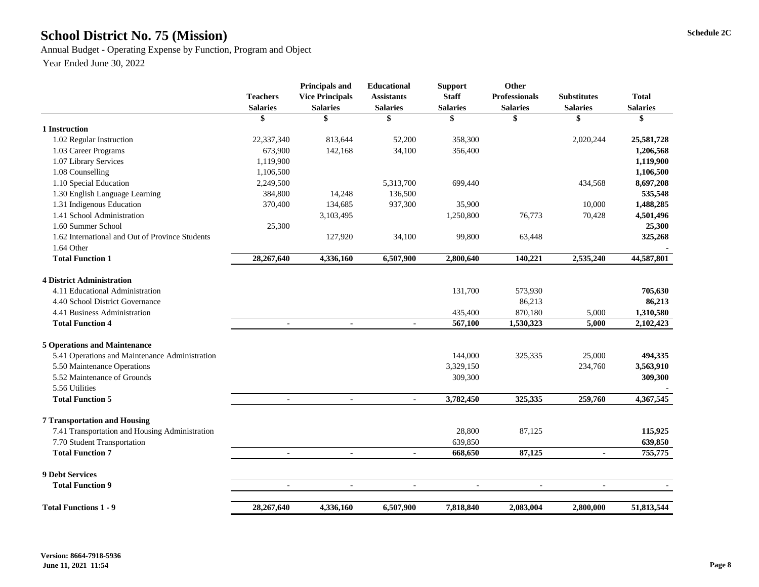# **Schedule 2C School District No. 75 (Mission)**

Annual Budget - Operating Expense by Function, Program and Object

|                                                 | <b>Teachers</b><br><b>Salaries</b> | <b>Principals and</b><br><b>Vice Principals</b><br><b>Salaries</b> | <b>Educational</b><br><b>Assistants</b><br><b>Salaries</b> | <b>Support</b><br><b>Staff</b><br><b>Salaries</b> | Other<br><b>Professionals</b><br><b>Salaries</b> | <b>Substitutes</b><br><b>Salaries</b> | <b>Total</b><br><b>Salaries</b> |
|-------------------------------------------------|------------------------------------|--------------------------------------------------------------------|------------------------------------------------------------|---------------------------------------------------|--------------------------------------------------|---------------------------------------|---------------------------------|
|                                                 | \$                                 | \$                                                                 | \$                                                         | \$                                                | \$                                               | \$                                    | \$                              |
| 1 Instruction                                   |                                    |                                                                    |                                                            |                                                   |                                                  |                                       |                                 |
| 1.02 Regular Instruction                        | 22,337,340                         | 813,644                                                            | 52,200                                                     | 358,300                                           |                                                  | 2,020,244                             | 25,581,728                      |
| 1.03 Career Programs                            | 673,900                            | 142,168                                                            | 34,100                                                     | 356,400                                           |                                                  |                                       | 1,206,568                       |
| 1.07 Library Services                           | 1,119,900                          |                                                                    |                                                            |                                                   |                                                  |                                       | 1,119,900                       |
| 1.08 Counselling                                | 1,106,500                          |                                                                    |                                                            |                                                   |                                                  |                                       | 1,106,500                       |
| 1.10 Special Education                          | 2,249,500                          |                                                                    | 5,313,700                                                  | 699,440                                           |                                                  | 434,568                               | 8,697,208                       |
| 1.30 English Language Learning                  | 384,800                            | 14,248                                                             | 136,500                                                    |                                                   |                                                  |                                       | 535,548                         |
| 1.31 Indigenous Education                       | 370,400                            | 134,685                                                            | 937,300                                                    | 35,900                                            |                                                  | 10,000                                | 1,488,285                       |
| 1.41 School Administration                      |                                    | 3,103,495                                                          |                                                            | 1,250,800                                         | 76,773                                           | 70,428                                | 4,501,496                       |
| 1.60 Summer School                              | 25,300                             |                                                                    |                                                            |                                                   |                                                  |                                       | 25,300                          |
| 1.62 International and Out of Province Students |                                    | 127,920                                                            | 34,100                                                     | 99,800                                            | 63,448                                           |                                       | 325,268                         |
| 1.64 Other                                      |                                    |                                                                    |                                                            |                                                   |                                                  |                                       |                                 |
| <b>Total Function 1</b>                         | 28,267,640                         | 4,336,160                                                          | 6,507,900                                                  | 2,800,640                                         | 140,221                                          | 2,535,240                             | 44,587,801                      |
| <b>4 District Administration</b>                |                                    |                                                                    |                                                            |                                                   |                                                  |                                       |                                 |
| 4.11 Educational Administration                 |                                    |                                                                    |                                                            | 131,700                                           | 573,930                                          |                                       | 705,630                         |
| 4.40 School District Governance                 |                                    |                                                                    |                                                            |                                                   | 86,213                                           |                                       | 86,213                          |
| 4.41 Business Administration                    |                                    |                                                                    |                                                            | 435,400                                           | 870,180                                          | 5,000                                 | 1,310,580                       |
| <b>Total Function 4</b>                         | $\blacksquare$                     | $\blacksquare$                                                     | $\blacksquare$                                             | 567,100                                           | 1,530,323                                        | 5,000                                 | 2,102,423                       |
| <b>5 Operations and Maintenance</b>             |                                    |                                                                    |                                                            |                                                   |                                                  |                                       |                                 |
| 5.41 Operations and Maintenance Administration  |                                    |                                                                    |                                                            | 144,000                                           | 325,335                                          | 25,000                                | 494,335                         |
| 5.50 Maintenance Operations                     |                                    |                                                                    |                                                            | 3,329,150                                         |                                                  | 234,760                               | 3,563,910                       |
| 5.52 Maintenance of Grounds                     |                                    |                                                                    |                                                            | 309,300                                           |                                                  |                                       | 309,300                         |
| 5.56 Utilities                                  |                                    |                                                                    |                                                            |                                                   |                                                  |                                       |                                 |
| <b>Total Function 5</b>                         |                                    |                                                                    |                                                            | 3,782,450                                         | 325,335                                          | 259,760                               | 4,367,545                       |
| <b>7 Transportation and Housing</b>             |                                    |                                                                    |                                                            |                                                   |                                                  |                                       |                                 |
| 7.41 Transportation and Housing Administration  |                                    |                                                                    |                                                            | 28,800                                            | 87,125                                           |                                       | 115,925                         |
| 7.70 Student Transportation                     |                                    |                                                                    |                                                            | 639,850                                           |                                                  |                                       | 639,850                         |
| <b>Total Function 7</b>                         |                                    |                                                                    | $\blacksquare$                                             | 668,650                                           | 87,125                                           | $\blacksquare$                        | 755,775                         |
| <b>9 Debt Services</b>                          |                                    |                                                                    |                                                            |                                                   |                                                  |                                       |                                 |
| <b>Total Function 9</b>                         | $\blacksquare$                     | $\blacksquare$                                                     |                                                            |                                                   | $\blacksquare$                                   |                                       |                                 |
| <b>Total Functions 1 - 9</b>                    | 28,267,640                         | 4,336,160                                                          | 6,507,900                                                  | 7,818,840                                         | 2,083,004                                        | 2,800,000                             | 51,813,544                      |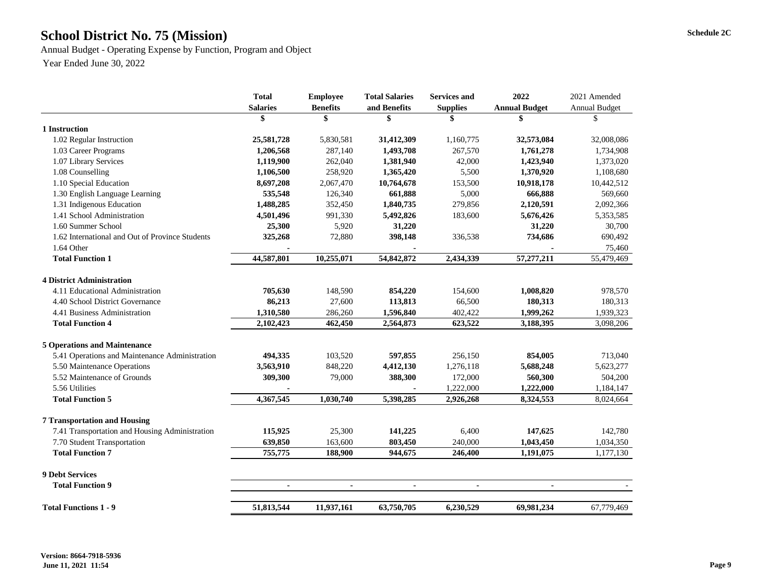# School District No. 75 (Mission) Schedule 2C

Annual Budget - Operating Expense by Function, Program and Object Year Ended June 30, 2022

|                                                 | <b>Total</b><br><b>Salaries</b> | <b>Employee</b><br><b>Benefits</b> | <b>Total Salaries</b><br>and Benefits | <b>Services and</b><br><b>Supplies</b> | 2022<br><b>Annual Budget</b> | 2021 Amended<br><b>Annual Budget</b> |
|-------------------------------------------------|---------------------------------|------------------------------------|---------------------------------------|----------------------------------------|------------------------------|--------------------------------------|
|                                                 | \$                              | \$                                 | \$                                    | \$                                     | \$                           | \$                                   |
| 1 Instruction                                   |                                 |                                    |                                       |                                        |                              |                                      |
| 1.02 Regular Instruction                        | 25,581,728                      | 5,830,581                          | 31,412,309                            | 1,160,775                              | 32,573,084                   | 32,008,086                           |
| 1.03 Career Programs                            | 1,206,568                       | 287,140                            | 1,493,708                             | 267,570                                | 1,761,278                    | 1,734,908                            |
| 1.07 Library Services                           | 1,119,900                       | 262,040                            | 1,381,940                             | 42,000                                 | 1,423,940                    | 1,373,020                            |
| 1.08 Counselling                                | 1,106,500                       | 258,920                            | 1,365,420                             | 5,500                                  | 1,370,920                    | 1,108,680                            |
| 1.10 Special Education                          | 8,697,208                       | 2,067,470                          | 10,764,678                            | 153,500                                | 10,918,178                   | 10,442,512                           |
| 1.30 English Language Learning                  | 535,548                         | 126,340                            | 661,888                               | 5,000                                  | 666,888                      | 569,660                              |
| 1.31 Indigenous Education                       | 1,488,285                       | 352,450                            | 1,840,735                             | 279,856                                | 2,120,591                    | 2,092,366                            |
| 1.41 School Administration                      | 4,501,496                       | 991,330                            | 5,492,826                             | 183,600                                | 5,676,426                    | 5,353,585                            |
| 1.60 Summer School                              | 25,300                          | 5,920                              | 31,220                                |                                        | 31,220                       | 30,700                               |
| 1.62 International and Out of Province Students | 325,268                         | 72,880                             | 398,148                               | 336,538                                | 734,686                      | 690,492                              |
| 1.64 Other                                      |                                 |                                    |                                       |                                        |                              | 75,460                               |
| <b>Total Function 1</b>                         | 44,587,801                      | 10,255,071                         | 54,842,872                            | 2,434,339                              | 57,277,211                   | 55,479,469                           |
| <b>4 District Administration</b>                |                                 |                                    |                                       |                                        |                              |                                      |
| 4.11 Educational Administration                 | 705,630                         | 148,590                            | 854,220                               | 154,600                                | 1,008,820                    | 978,570                              |
| 4.40 School District Governance                 | 86,213                          | 27,600                             | 113,813                               | 66,500                                 | 180,313                      | 180,313                              |
| 4.41 Business Administration                    | 1,310,580                       | 286,260                            | 1,596,840                             | 402,422                                | 1,999,262                    | 1,939,323                            |
| <b>Total Function 4</b>                         | 2,102,423                       | 462,450                            | 2,564,873                             | 623,522                                | 3,188,395                    | 3,098,206                            |
| <b>5 Operations and Maintenance</b>             |                                 |                                    |                                       |                                        |                              |                                      |
| 5.41 Operations and Maintenance Administration  | 494,335                         | 103,520                            | 597,855                               | 256,150                                | 854,005                      | 713,040                              |
| 5.50 Maintenance Operations                     | 3,563,910                       | 848,220                            | 4,412,130                             | 1,276,118                              | 5,688,248                    | 5,623,277                            |
| 5.52 Maintenance of Grounds                     | 309,300                         | 79,000                             | 388,300                               | 172,000                                | 560,300                      | 504,200                              |
| 5.56 Utilities                                  |                                 |                                    |                                       | 1,222,000                              | 1,222,000                    | 1,184,147                            |
| <b>Total Function 5</b>                         | 4,367,545                       | 1,030,740                          | 5,398,285                             | 2,926,268                              | 8,324,553                    | 8,024,664                            |
| <b>7 Transportation and Housing</b>             |                                 |                                    |                                       |                                        |                              |                                      |
| 7.41 Transportation and Housing Administration  | 115,925                         | 25,300                             | 141,225                               | 6,400                                  | 147,625                      | 142,780                              |
| 7.70 Student Transportation                     | 639,850                         | 163,600                            | 803,450                               | 240,000                                | 1,043,450                    | 1,034,350                            |
| <b>Total Function 7</b>                         | 755,775                         | 188,900                            | 944,675                               | 246,400                                | 1,191,075                    | 1,177,130                            |
|                                                 |                                 |                                    |                                       |                                        |                              |                                      |
| <b>9 Debt Services</b>                          |                                 |                                    |                                       |                                        |                              |                                      |
| <b>Total Function 9</b>                         | $\blacksquare$                  | $\blacksquare$                     | $\blacksquare$                        | $\blacksquare$                         | $\blacksquare$               |                                      |
| <b>Total Functions 1 - 9</b>                    | 51,813,544                      | 11,937,161                         | 63,750,705                            | 6,230,529                              | 69,981,234                   | 67,779,469                           |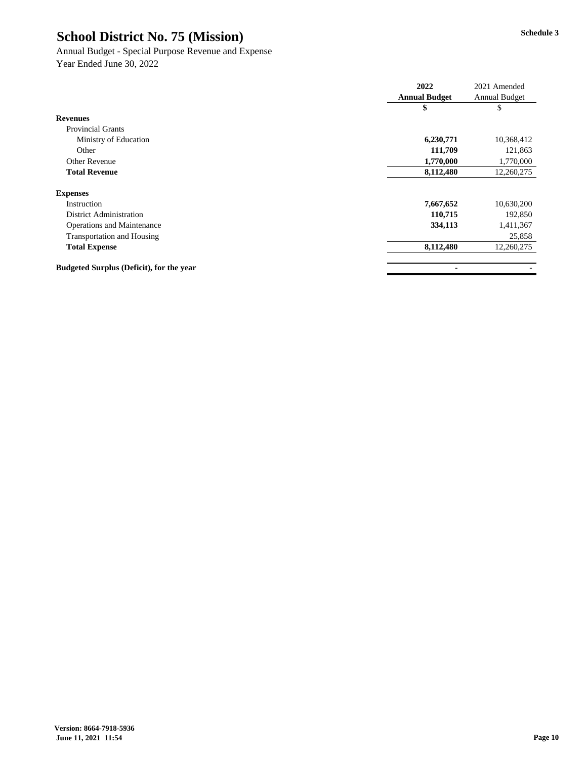# Annual Budget - Special Purpose Revenue and Expense

|                                                 | 2022                 | 2021 Amended         |
|-------------------------------------------------|----------------------|----------------------|
|                                                 | <b>Annual Budget</b> | <b>Annual Budget</b> |
|                                                 | \$                   | \$                   |
| <b>Revenues</b>                                 |                      |                      |
| <b>Provincial Grants</b>                        |                      |                      |
| Ministry of Education                           | 6,230,771            | 10,368,412           |
| Other                                           | 111,709              | 121,863              |
| <b>Other Revenue</b>                            | 1,770,000            | 1,770,000            |
| <b>Total Revenue</b>                            | 8,112,480            | 12,260,275           |
| <b>Expenses</b>                                 |                      |                      |
| Instruction                                     | 7,667,652            | 10,630,200           |
| <b>District Administration</b>                  | 110,715              | 192,850              |
| <b>Operations and Maintenance</b>               | 334,113              | 1,411,367            |
| <b>Transportation and Housing</b>               |                      | 25,858               |
| <b>Total Expense</b>                            | 8,112,480            | 12,260,275           |
| <b>Budgeted Surplus (Deficit), for the year</b> |                      |                      |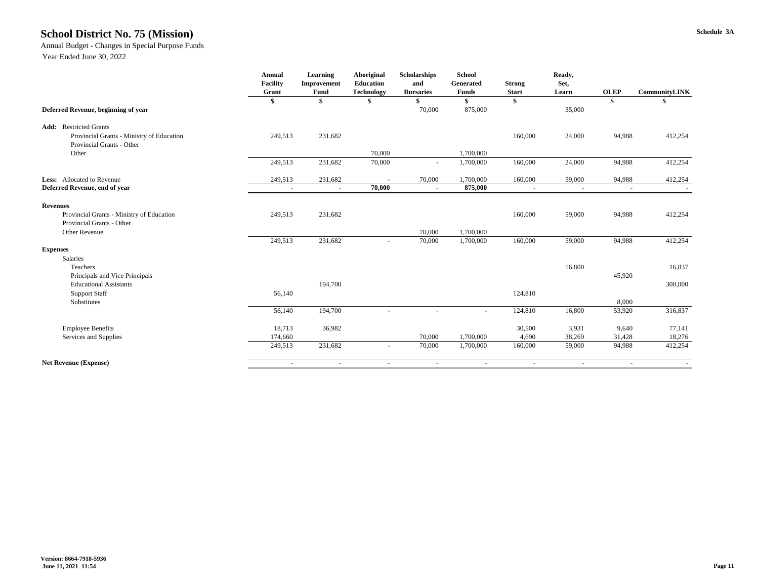#### **Schedule 3A School District No. 75 (Mission)**

#### Annual Budget - Changes in Special Purpose Funds

| <b>Technology</b><br><b>Start</b><br>Learn<br>\$<br>\$<br>\$<br>\$<br>875,000<br>Deferred Revenue, beginning of year<br>70,000<br>35,000<br><b>Add:</b> Restricted Grants<br>231,682<br>Provincial Grants - Ministry of Education<br>249,513<br>160,000<br>24,000<br>94,988<br>Provincial Grants - Other<br>Other<br>70,000<br>1,700,000<br>249,513<br>231,682<br>160,000<br>24,000<br>70,000<br>1,700,000<br>94,988<br>$\overline{\phantom{a}}$<br>Less: Allocated to Revenue<br>249,513<br>231,682<br>70,000<br>1,700,000<br>160,000<br>59,000<br>94,988<br>875,000<br>Deferred Revenue, end of year<br>70,000<br>$\sim$<br>$\sim$<br>$\blacksquare$<br>$\blacksquare$<br>$\blacksquare$<br>$\blacksquare$ | <b>CommunityLINK</b> |
|--------------------------------------------------------------------------------------------------------------------------------------------------------------------------------------------------------------------------------------------------------------------------------------------------------------------------------------------------------------------------------------------------------------------------------------------------------------------------------------------------------------------------------------------------------------------------------------------------------------------------------------------------------------------------------------------------------------|----------------------|
|                                                                                                                                                                                                                                                                                                                                                                                                                                                                                                                                                                                                                                                                                                              |                      |
|                                                                                                                                                                                                                                                                                                                                                                                                                                                                                                                                                                                                                                                                                                              |                      |
|                                                                                                                                                                                                                                                                                                                                                                                                                                                                                                                                                                                                                                                                                                              |                      |
|                                                                                                                                                                                                                                                                                                                                                                                                                                                                                                                                                                                                                                                                                                              | 412,254              |
|                                                                                                                                                                                                                                                                                                                                                                                                                                                                                                                                                                                                                                                                                                              |                      |
|                                                                                                                                                                                                                                                                                                                                                                                                                                                                                                                                                                                                                                                                                                              |                      |
|                                                                                                                                                                                                                                                                                                                                                                                                                                                                                                                                                                                                                                                                                                              | 412,254              |
|                                                                                                                                                                                                                                                                                                                                                                                                                                                                                                                                                                                                                                                                                                              | 412,254              |
|                                                                                                                                                                                                                                                                                                                                                                                                                                                                                                                                                                                                                                                                                                              |                      |
| <b>Revenues</b>                                                                                                                                                                                                                                                                                                                                                                                                                                                                                                                                                                                                                                                                                              |                      |
| Provincial Grants - Ministry of Education<br>231,682<br>59,000<br>249,513<br>160,000<br>94,988                                                                                                                                                                                                                                                                                                                                                                                                                                                                                                                                                                                                               | 412,254              |
| Provincial Grants - Other                                                                                                                                                                                                                                                                                                                                                                                                                                                                                                                                                                                                                                                                                    |                      |
| 1,700,000<br>Other Revenue<br>70,000                                                                                                                                                                                                                                                                                                                                                                                                                                                                                                                                                                                                                                                                         |                      |
| 231,682<br>249,513<br>160,000<br>59,000<br>94,988<br>70,000<br>1,700,000<br>$\overline{\phantom{a}}$                                                                                                                                                                                                                                                                                                                                                                                                                                                                                                                                                                                                         | 412,254              |
| <b>Expenses</b>                                                                                                                                                                                                                                                                                                                                                                                                                                                                                                                                                                                                                                                                                              |                      |
| Salaries                                                                                                                                                                                                                                                                                                                                                                                                                                                                                                                                                                                                                                                                                                     |                      |
| Teachers<br>16,800                                                                                                                                                                                                                                                                                                                                                                                                                                                                                                                                                                                                                                                                                           | 16,837               |
| Principals and Vice Principals<br>45,920                                                                                                                                                                                                                                                                                                                                                                                                                                                                                                                                                                                                                                                                     |                      |
| <b>Educational Assistants</b><br>194,700                                                                                                                                                                                                                                                                                                                                                                                                                                                                                                                                                                                                                                                                     | 300,000              |
| 56,140<br>124,810<br><b>Support Staff</b>                                                                                                                                                                                                                                                                                                                                                                                                                                                                                                                                                                                                                                                                    |                      |
| Substitutes<br>8,000                                                                                                                                                                                                                                                                                                                                                                                                                                                                                                                                                                                                                                                                                         |                      |
| 194,700<br>56,140<br>124,810<br>16,800<br>53,920<br>$\overline{\phantom{a}}$                                                                                                                                                                                                                                                                                                                                                                                                                                                                                                                                                                                                                                 | 316,837              |
| 18,713<br>36,982<br>30,500<br>3,931<br>9,640<br><b>Employee Benefits</b>                                                                                                                                                                                                                                                                                                                                                                                                                                                                                                                                                                                                                                     | 77,141               |
| Services and Supplies<br>174,660<br>70,000<br>1,700,000<br>4,690<br>38,269<br>31,428                                                                                                                                                                                                                                                                                                                                                                                                                                                                                                                                                                                                                         | 18,276               |
| 231,682<br>1,700,000<br>160,000<br>249,513<br>70,000<br>59,000<br>94,988<br>$\overline{\phantom{a}}$                                                                                                                                                                                                                                                                                                                                                                                                                                                                                                                                                                                                         | 412,254              |
| <b>Net Revenue (Expense)</b><br>$\sim$<br>$\sim$<br>$\sim$<br>$\sim$<br>$\sim$<br>$\sim$<br>$\sim$                                                                                                                                                                                                                                                                                                                                                                                                                                                                                                                                                                                                           |                      |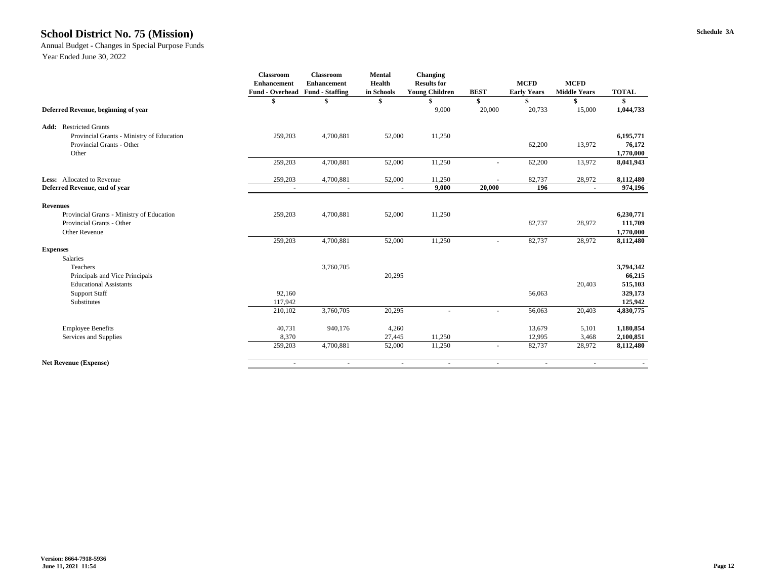#### **Schedule 3A School District No. 75 (Mission)**

Annual Budget - Changes in Special Purpose Funds

|                                           | <b>Classroom</b>                       | <b>Classroom</b>   | <b>Mental</b>  | <b>Changing</b>       |                          |                    |                     |              |
|-------------------------------------------|----------------------------------------|--------------------|----------------|-----------------------|--------------------------|--------------------|---------------------|--------------|
|                                           | <b>Enhancement</b>                     | <b>Enhancement</b> | <b>Health</b>  | <b>Results for</b>    |                          | <b>MCFD</b>        | <b>MCFD</b>         |              |
|                                           | <b>Fund - Overhead Fund - Staffing</b> |                    | in Schools     | <b>Young Children</b> | <b>BEST</b>              | <b>Early Years</b> | <b>Middle Years</b> | <b>TOTAL</b> |
|                                           |                                        |                    |                |                       |                          |                    |                     |              |
| Deferred Revenue, beginning of year       |                                        |                    |                | 9,000                 | 20,000                   | 20,733             | 15,000              | 1,044,733    |
| <b>Add:</b> Restricted Grants             |                                        |                    |                |                       |                          |                    |                     |              |
| Provincial Grants - Ministry of Education | 259,203                                | 4,700,881          | 52,000         | 11,250                |                          |                    |                     | 6,195,771    |
| Provincial Grants - Other                 |                                        |                    |                |                       |                          | 62,200             | 13,972              | 76,172       |
| Other                                     |                                        |                    |                |                       |                          |                    |                     | 1,770,000    |
|                                           | 259,203                                | 4,700,881          | 52,000         | 11,250                |                          | 62,200             | 13,972              | 8,041,943    |
| Less: Allocated to Revenue                | 259,203                                | 4,700,881          | 52,000         | 11,250                |                          | 82,737             | 28,972              | 8,112,480    |
| Deferred Revenue, end of year             | $\blacksquare$                         | $\blacksquare$     | $\blacksquare$ | 9,000                 | 20,000                   | 196                | $\blacksquare$      | 974,196      |
| <b>Revenues</b>                           |                                        |                    |                |                       |                          |                    |                     |              |
| Provincial Grants - Ministry of Education | 259,203                                | 4,700,881          | 52,000         | 11,250                |                          |                    |                     | 6,230,771    |
| Provincial Grants - Other                 |                                        |                    |                |                       |                          | 82,737             | 28,972              | 111,709      |
| Other Revenue                             |                                        |                    |                |                       |                          |                    |                     | 1,770,000    |
|                                           | 259,203                                | 4,700,881          | 52,000         | 11,250                | $\overline{\phantom{a}}$ | 82,737             | 28,972              | 8,112,480    |
| <b>Expenses</b>                           |                                        |                    |                |                       |                          |                    |                     |              |
| Salaries                                  |                                        |                    |                |                       |                          |                    |                     |              |
| Teachers                                  |                                        | 3,760,705          |                |                       |                          |                    |                     | 3,794,342    |
| Principals and Vice Principals            |                                        |                    | 20,295         |                       |                          |                    |                     | 66,215       |
| <b>Educational Assistants</b>             |                                        |                    |                |                       |                          |                    | 20,403              | 515,103      |
| <b>Support Staff</b>                      | 92,160                                 |                    |                |                       |                          | 56,063             |                     | 329,173      |
| Substitutes                               | 117,942                                |                    |                |                       |                          |                    |                     | 125,942      |
|                                           | 210,102                                | 3,760,705          | 20,295         |                       |                          | 56,063             | 20,403              | 4,830,775    |
| <b>Employee Benefits</b>                  | 40,731                                 | 940,176            | 4,260          |                       |                          | 13,679             | 5,101               | 1,180,854    |
| Services and Supplies                     | 8,370                                  |                    | 27,445         | 11,250                |                          | 12,995             | 3,468               | 2,100,851    |
|                                           | 259,203                                | 4,700,881          | 52,000         | 11,250                | $\blacksquare$           | 82,737             | 28,972              | 8,112,480    |
| <b>Net Revenue (Expense)</b>              | $\sim$                                 | $\sim$             | $\blacksquare$ | $\sim$                | $\sim$                   | $\sim$             | $\sim$              |              |
|                                           |                                        |                    |                |                       |                          |                    |                     |              |